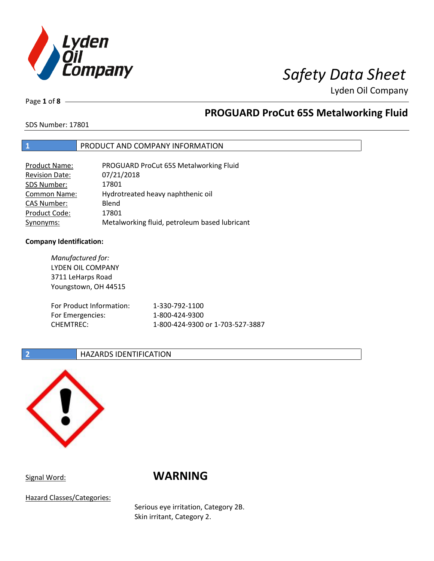

Lyden Oil Company

Page **1** of **8**

### **PROGUARD ProCut 65S Metalworking Fluid**

SDS Number: 17801

### **1** PRODUCT AND COMPANY INFORMATION

| <b>Product Name:</b>  | PROGUARD ProCut 65S Metalworking Fluid        |
|-----------------------|-----------------------------------------------|
| <b>Revision Date:</b> | 07/21/2018                                    |
| SDS Number:           | 17801                                         |
| <b>Common Name:</b>   | Hydrotreated heavy naphthenic oil             |
| <b>CAS Number:</b>    | Blend                                         |
| Product Code:         | 17801                                         |
| Synonyms:             | Metalworking fluid, petroleum based lubricant |

#### **Company Identification:**

*Manufactured for:*  LYDEN OIL COMPANY 3711 LeHarps Road Youngstown, OH 44515 For Product Information: 1-330-792-1100 For Emergencies: 1-800-424-9300 CHEMTREC: 1-800-424-9300 or 1-703-527-3887

#### **2 HAZARDS IDENTIFICATION**



### Signal Word: **WARNING**

Hazard Classes/Categories:

Serious eye irritation, Category 2B. Skin irritant, Category 2.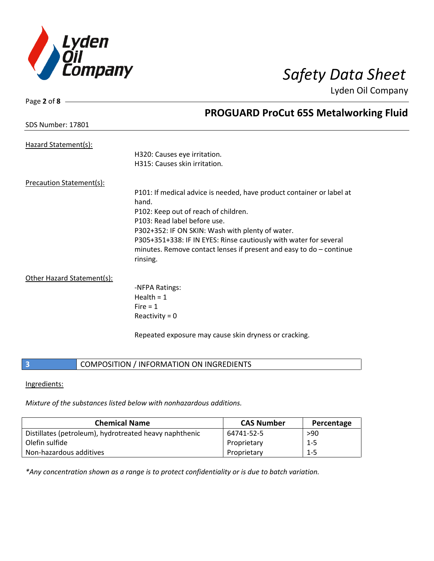

Lyden Oil Company

| Page 2 of $8 -$                 |                                                                       |
|---------------------------------|-----------------------------------------------------------------------|
|                                 | <b>PROGUARD ProCut 65S Metalworking Fluid</b>                         |
| <b>SDS Number: 17801</b>        |                                                                       |
|                                 |                                                                       |
| Hazard Statement(s):            |                                                                       |
|                                 | H320: Causes eye irritation.                                          |
|                                 | H315: Causes skin irritation.                                         |
| <b>Precaution Statement(s):</b> |                                                                       |
|                                 | P101: If medical advice is needed, have product container or label at |
|                                 | hand.                                                                 |
|                                 | P102: Keep out of reach of children.                                  |
|                                 | P103: Read label before use.                                          |
|                                 |                                                                       |
|                                 | P302+352: IF ON SKIN: Wash with plenty of water.                      |
|                                 | P305+351+338: IF IN EYES: Rinse cautiously with water for several     |
|                                 | minutes. Remove contact lenses if present and easy to $do$ – continue |
|                                 | rinsing.                                                              |
| Other Hazard Statement(s):      |                                                                       |
|                                 | -NFPA Ratings:                                                        |
|                                 | Health = $1$                                                          |
|                                 | Fire $= 1$                                                            |
|                                 | Reactivity = $0$                                                      |
|                                 |                                                                       |

Repeated exposure may cause skin dryness or cracking.

#### **3 COMPOSITION** / INFORMATION ON INGREDIENTS

#### Ingredients:

*Mixture of the substances listed below with nonhazardous additions.* 

| <b>Chemical Name</b>                                   | <b>CAS Number</b> | Percentage |
|--------------------------------------------------------|-------------------|------------|
| Distillates (petroleum), hydrotreated heavy naphthenic | 64741-52-5        | >90        |
| Olefin sulfide                                         | Proprietary       | $1 - 5$    |
| Non-hazardous additives                                | Proprietary       | $1 - 5$    |

*\*Any concentration shown as a range is to protect confidentiality or is due to batch variation.*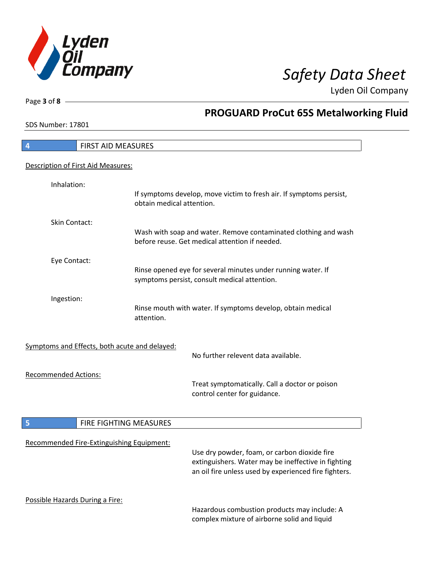

**PROGUARD ProCut 65S Metalworking Fluid** 

Lyden Oil Company

SDS Number: 17801

Page **3** of **8**

## **4** FIRST AID MEASURES Description of First Aid Measures: Inhalation: If symptoms develop, move victim to fresh air. If symptoms persist, obtain medical attention. Skin Contact: Wash with soap and water. Remove contaminated clothing and wash before reuse. Get medical attention if needed. Eye Contact: Rinse opened eye for several minutes under running water. If symptoms persist, consult medical attention. Ingestion: Rinse mouth with water. If symptoms develop, obtain medical attention. Symptoms and Effects, both acute and delayed: No further relevent data available. Recommended Actions: Treat symptomatically. Call a doctor or poison control center for guidance. **5 FIRE FIGHTING MEASURES** Recommended Fire-Extinguishing Equipment: Use dry powder, foam, or carbon dioxide fire extinguishers. Water may be ineffective in fighting an oil fire unless used by experienced fire fighters. Possible Hazards During a Fire: Hazardous combustion products may include: A complex mixture of airborne solid and liquid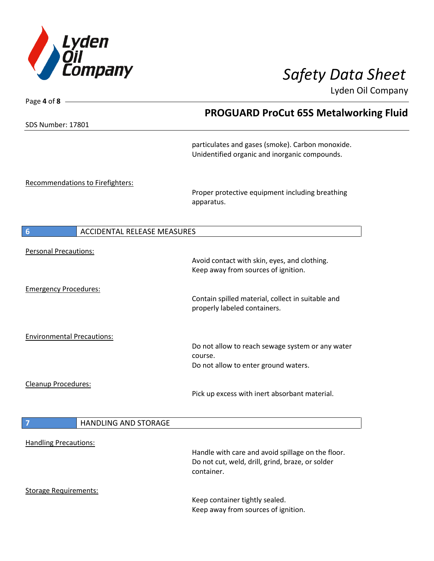

Lyden Oil Company

SDS Number: 17801

Page **4** of **8**

### **PROGUARD ProCut 65S Metalworking Fluid**

particulates and gases (smoke). Carbon monoxide. Unidentified organic and inorganic compounds.

Recommendations to Firefighters:

Proper protective equipment including breathing apparatus.

Keep away from sources of ignition.

**6** ACCIDENTAL RELEASE MEASURES

| <b>Personal Precautions:</b>      | Avoid contact with skin, eyes, and clothing.<br>Keep away from sources of ignition.                                 |
|-----------------------------------|---------------------------------------------------------------------------------------------------------------------|
| <b>Emergency Procedures:</b>      | Contain spilled material, collect in suitable and<br>properly labeled containers.                                   |
| <b>Environmental Precautions:</b> | Do not allow to reach sewage system or any water<br>course.<br>Do not allow to enter ground waters.                 |
| Cleanup Procedures:               | Pick up excess with inert absorbant material.                                                                       |
| <b>HANDLING AND STORAGE</b><br>7  |                                                                                                                     |
| <b>Handling Precautions:</b>      | Handle with care and avoid spillage on the floor.<br>Do not cut, weld, drill, grind, braze, or solder<br>container. |
| <b>Storage Requirements:</b>      | Keep container tightly sealed.                                                                                      |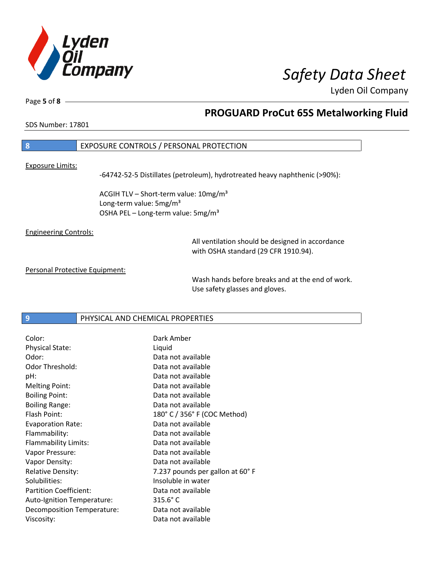

Lyden Oil Company

Page **5** of **8**

### **PROGUARD ProCut 65S Metalworking Fluid**

SDS Number: 17801

### **8** EXPOSURE CONTROLS / PERSONAL PROTECTION

#### Exposure Limits:

-64742-52-5 Distillates (petroleum), hydrotreated heavy naphthenic (>90%):

ACGIH TLV - Short-term value: 10mg/m<sup>3</sup> Long-term value: 5mg/m<sup>3</sup> OSHA PEL – Long-term value:  $5\,\text{mg/m}^3$ 

Engineering Controls:

All ventilation should be designed in accordance with OSHA standard (29 CFR 1910.94).

Personal Protective Equipment:

Wash hands before breaks and at the end of work. Use safety glasses and gloves.

**9 PHYSICAL AND CHEMICAL PROPERTIES** 

| Color:                        | Dark Amber                      |
|-------------------------------|---------------------------------|
| <b>Physical State:</b>        | Liquid                          |
| Odor:                         | Data not available              |
| Odor Threshold:               | Data not available              |
| pH:                           | Data not available              |
| <b>Melting Point:</b>         | Data not available              |
| <b>Boiling Point:</b>         | Data not available              |
| <b>Boiling Range:</b>         | Data not available              |
| Flash Point:                  | 180° C / 356° F (COC Method)    |
| <b>Evaporation Rate:</b>      | Data not available              |
| Flammability:                 | Data not available              |
| <b>Flammability Limits:</b>   | Data not available              |
| Vapor Pressure:               | Data not available              |
| Vapor Density:                | Data not available              |
| <b>Relative Density:</b>      | 7.237 pounds per gallon at 60°F |
| Solubilities:                 | Insoluble in water              |
| <b>Partition Coefficient:</b> | Data not available              |
| Auto-Ignition Temperature:    | $315.6^{\circ}$ C               |
| Decomposition Temperature:    | Data not available              |
| Viscosity:                    | Data not available              |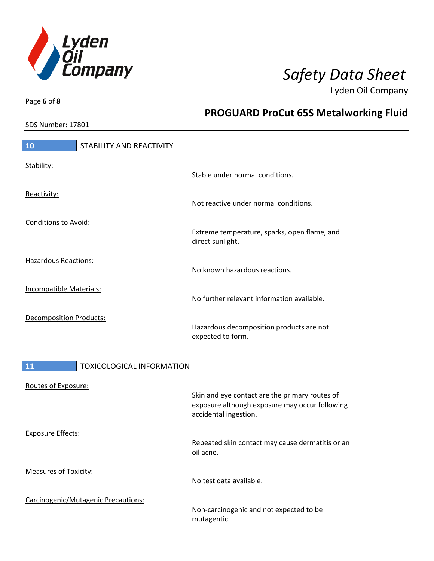

**PROGUARD ProCut 65S Metalworking Fluid** 

Lyden Oil Company

SDS Number: 17801

Page **6** of **8**

### **10** STABILITY AND REACTIVITY Stability: Stable under normal conditions. Reactivity: Not reactive under normal conditions. Conditions to Avoid: Extreme temperature, sparks, open flame, and direct sunlight. Hazardous Reactions: No known hazardous reactions. Incompatible Materials: No further relevant information available. Decomposition Products: Hazardous decomposition products are not expected to form.

| <b>11</b>                    | <b>TOXICOLOGICAL INFORMATION</b>    |                                                                         |
|------------------------------|-------------------------------------|-------------------------------------------------------------------------|
| Routes of Exposure:          |                                     | Skin and eye contact are the primary routes of                          |
|                              |                                     | exposure although exposure may occur following<br>accidental ingestion. |
| Exposure Effects:            |                                     |                                                                         |
|                              |                                     | Repeated skin contact may cause dermatitis or an<br>oil acne.           |
| <b>Measures of Toxicity:</b> |                                     | No test data available.                                                 |
|                              |                                     |                                                                         |
|                              | Carcinogenic/Mutagenic Precautions: | Non-carcinogenic and not expected to be<br>mutagentic.                  |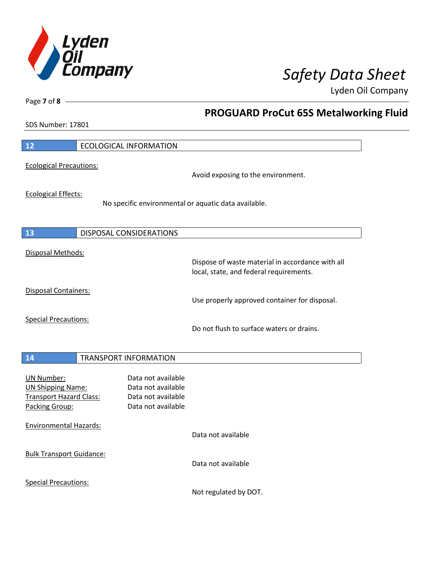

**PROGUARD ProCut 65S Metalworking Fluid** 

Lyden Oil Company

SDS Number: 17801

Page **7** of **8**

 $\mathbf l$ 

 $\overline{\phantom{a}}$ 

| 12                                                                                                | <b>ECOLOGICAL INFORMATION</b>                                                               |
|---------------------------------------------------------------------------------------------------|---------------------------------------------------------------------------------------------|
| <b>Ecological Precautions:</b>                                                                    | Avoid exposing to the environment.                                                          |
| <b>Ecological Effects:</b>                                                                        | No specific environmental or aquatic data available.                                        |
| 13                                                                                                | DISPOSAL CONSIDERATIONS                                                                     |
| Disposal Methods:                                                                                 | Dispose of waste material in accordance with all<br>local, state, and federal requirements. |
| <b>Disposal Containers:</b>                                                                       | Use properly approved container for disposal.                                               |
| <b>Special Precautions:</b>                                                                       | Do not flush to surface waters or drains.                                                   |
| 14                                                                                                | <b>TRANSPORT INFORMATION</b>                                                                |
| <b>UN Number:</b><br><b>UN Shipping Name:</b><br><b>Transport Hazard Class:</b><br>Packing Group: | Data not available<br>Data not available<br>Data not available<br>Data not available        |
| <b>Environmental Hazards:</b>                                                                     | Data not available                                                                          |
| <b>Bulk Transport Guidance:</b>                                                                   | Data not available                                                                          |
| <b>Special Precautions:</b>                                                                       | Not regulated by DOT.                                                                       |